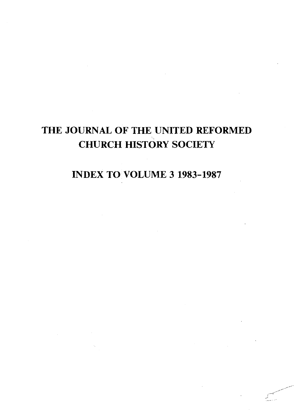# THE JOURNAL OF THE UNITED REFORMED CHURCH HISTORY SOCIETY

INDEX TO VOLUME 3 1983-1987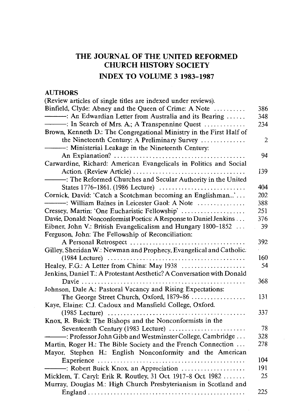# **THE JOURNAL OF THE UNITED REFORMED CHURCH HISTORY SOCIETY INDEX TO VOLUME 3 1983-1987**

#### **AUTHORS**

| (Review articles of single titles are indexed under reviews).          |                |
|------------------------------------------------------------------------|----------------|
| Binfield, Clyde: Abney and the Queen of Crime: A Note                  | 386            |
| - An Edwardian Letter from Australia and its Bearing                   | 348            |
| - : In Search of Mrs. A.; A Transpennine Quest                         | 234            |
| Brown, Kenneth D.: The Congregational Ministry in the First Half of    |                |
| the Nineteenth Century: A Preliminary Survey                           | $\overline{2}$ |
| -: Ministerial Leakage in the Nineteenth Century:                      |                |
|                                                                        | 94             |
| Carwardine, Richard: American Evangelicals in Politics and Social      |                |
|                                                                        | 139            |
| -: The Reformed Churches and Secular Authority in the United           |                |
| States 1776-1861. (1986 Lecture)                                       | 404            |
| Cornick, David: 'Catch a Scotchman becoming an Englishman'             | 202            |
| ------------: William Baines in Leicester Gaol: A Note                 | 388            |
| Cressey, Martin: 'One Eucharistic Fellowship'                          | 251            |
| Davie, Donald: Nonconformist Poetics: A Response to Daniel Jenkins     | 376            |
| Eibner, John V.: British Evangelicalism and Hungary 1800–1852          | 39             |
| Ferguson, John: The Fellowship of Reconciliation:                      |                |
|                                                                        | 392            |
| Gilley, Sheridan W.: Newman and Prophecy, Evangelical and Catholic.    |                |
|                                                                        | 160            |
| Healey, F.G.: A Letter from China: May 1938                            | 54             |
| Jenkins, Daniel T.: A Protestant Aesthetic? A Conversation with Donald |                |
|                                                                        | 368            |
| Johnson, Dale A: Pastoral Vacancy and Rising Expectations:             |                |
|                                                                        | 131            |
| The George Street Church, Oxford, 1879-86                              |                |
| Kaye, Elaine: C.J. Cadoux and Mansfield College, Oxford.               | 337            |
|                                                                        |                |
| Knox, R. Buick: The Bishops and the Nonconformists in the              |                |
| Seventeenth Century (1983 Lecture)                                     | 78             |
| -: Professor John Gibb and Westminster College, Cambridge              | 328            |
| Martin, Roger H.: The Bible Society and the French Connection          | 278            |
| Mayor, Stephen H.: English Nonconformity and the American              |                |
|                                                                        | 104            |
| -: Robert Buick Knox, an Appreciation                                  | 191            |
| Micklem, T. Caryl: Erik R. Routley, 31 Oct. 1917-8 Oct. 1982           | 25             |
| Murray, Douglas M.: High Church Presbyterianism in Scotland and        |                |
|                                                                        | 225            |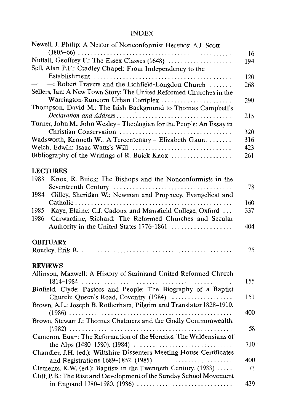|      | Newell, J. Philip: A Nestor of Nonconformist Heretics: A.J. Scott     |     |
|------|-----------------------------------------------------------------------|-----|
|      |                                                                       | 16  |
|      | Nuttall, Geoffrey F.: The Essex Classes (1648)                        | 194 |
|      | Sell, Alan P.F.: Cradley Chapel: From Independency to the             |     |
|      |                                                                       | 120 |
|      | $\rightarrow$ : Robert Travers and the Lichfield-Longdon Church       | 268 |
|      | Sellers, Ian: A New Town Story: The United Reformed Churches in the   |     |
|      | Warrington-Runcorn Urban Complex                                      | 290 |
|      | Thompson, David M.: The Irish Background to Thomas Campbell's         |     |
|      |                                                                       | 215 |
|      | Turner, John M.: John Wesley - Theologian for the People: An Essay in |     |
|      |                                                                       | 320 |
|      | Wadsworth, Kenneth W.: A Tercentenary - Elizabeth Gaunt               | 316 |
|      |                                                                       | 423 |
|      | Bibliography of the Writings of R. Buick Knox                         | 261 |
|      |                                                                       |     |
|      | <b>LECTURES</b>                                                       |     |
| 1983 | Knox, R. Buick: The Bishops and the Nonconformists in the             |     |
|      |                                                                       | 78  |
| 1984 | Gilley, Sheridan W.: Newman and Prophecy, Evangelical and             |     |
|      |                                                                       | 160 |
| 1985 | Kaye, Elaine: C.J. Cadoux and Mansfield College, Oxford               | 337 |
| 1986 | Carwardine, Richard: The Reformed Churches and Secular                |     |
|      | Authority in the United States 1776-1861                              | 404 |
|      | <b>OBITUARY</b>                                                       |     |
|      |                                                                       | 25  |
|      |                                                                       |     |
|      | <b>REVIEWS</b>                                                        |     |
|      | Allinson, Maxwell: A History of Stainland United Reformed Church      |     |
|      |                                                                       | 155 |
|      | Binfield, Clyde: Pastors and People: The Biography of a Baptist       |     |
|      | Church: Queen's Road, Coventry. (1984)                                | 151 |
|      | Brown, A.L.: Joseph B. Rotherham, Pilgrim and Translator 1828-1910.   |     |
|      |                                                                       | 400 |
|      | Brown, Stewart J.: Thomas Chalmers and the Godly Commonwealth.        |     |
|      |                                                                       | 58  |
|      | Cameron, Euan: The Reformation of the Heretics. The Waldensians of    |     |
|      |                                                                       | 310 |
|      | Chandler, J.H. (ed.): Wiltshire Dissenters Meeting House Certificates |     |
|      |                                                                       | 400 |
|      | Clements, K.W. (ed.): Baptists in the Twentieth Century. $(1983)$     | 73  |
|      | Cliff, P.B.: The Rise and Development of the Sunday School Movement   |     |
|      |                                                                       | 439 |

 $\sim$   $\sim$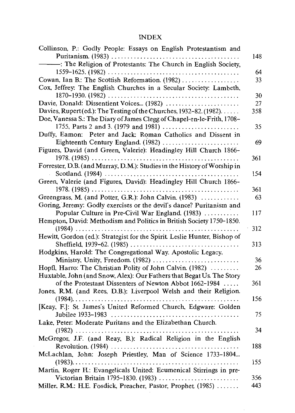| Collinson, P.: Godly People: Essays on English Protestantism and          |     |
|---------------------------------------------------------------------------|-----|
|                                                                           | 148 |
| -: The Religion of Protestants: The Church in English Society,            |     |
|                                                                           | 64  |
| Cowan, Ian B.: The Scottish Reformation. (1982)                           | 33  |
| Cox, Jeffrey: The English Churches in a Secular Society: Lambeth,         |     |
|                                                                           | 30  |
| Davie, Donald: Dissentient Voices (1982)                                  | 27  |
| Davies, Rupert (ed.): The Testing of the Churches, $1932-82$ . (1982).    | 358 |
| Doe, Vanessa S.: The Diary of James Clegg of Chapel-en-le-Frith, 1708-    |     |
|                                                                           | 35  |
| Duffy, Eamon: Peter and Jack: Roman Catholics and Dissent in              |     |
| Eighteenth Century England. (1982)                                        | 69  |
| Figures, David (and Green, Valerie): Headingley Hill Church 1866-         |     |
|                                                                           | 361 |
| Forrester, D.B. (and Murray, D.M.): Studies in the History of Worship in  |     |
|                                                                           | 154 |
| Green, Valerie (and Figures, David): Headingley Hill Church 1866-         |     |
|                                                                           | 361 |
| Greengrass, M. (and Potter, G.R.): John Calvin. (1983)                    | 63  |
| Goring, Jeremy: Godly exercises or the devil's dance? Puritanism and      |     |
| Popular Culture in Pre-Civil War England. (1983)                          | 117 |
| Hempton, David: Methodism and Politics in British Society 1750-1850.      |     |
|                                                                           | 312 |
| Hewitt, Gordon (ed.): Strategist for the Spirit. Leslie Hunter, Bishop of |     |
|                                                                           | 313 |
| Hodgkins, Harold: The Congregational Way. Apostolic Legacy,               |     |
| Ministry, Unity, Freedom. (1982)                                          | 36  |
| Hopfl, Harro: The Christian Polity of John Calvin. (1982)                 | 26  |
| Huxtable, John (and Snow, Alex): Our Fathers that Begat Us. The Story     |     |
| of the Protestant Dissenters of Newton Abbot 1662-1984                    | 361 |
| Jones, R.M. (and Rees, D.B.): Liverpool Welsh and their Religion.         |     |
|                                                                           | 156 |
| [Keay, F.]: St. James's United Reformed Church, Edgware: Golden           |     |
|                                                                           | 75  |
| Lake, Peter: Moderate Puritans and the Elizabethan Church.                |     |
|                                                                           | 34  |
| McGregor, J.F. (and Reay, B.): Radical Religion in the English            |     |
|                                                                           | 188 |
| McLachlan, John: Joseph Priestley, Man of Science 1733-1804               |     |
| $(1983)$                                                                  | 155 |
| Martin, Roger H.: Evangelicals United: Ecumenical Stirrings in pre-       |     |
| Victorian Britain 1795-1830. (1983)                                       | 356 |
| Miller, R.M.: H.E. Fosdick, Preacher, Pastor, Prophet (1985)              | 443 |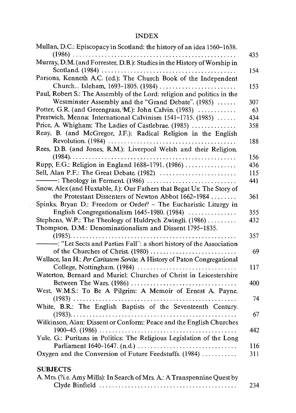| Mullan, D.C.: Episcopacy in Scotland: the history of an idea 1560-1638.  | 435 |
|--------------------------------------------------------------------------|-----|
| Murray, D.M. (and Forrester, D.B.): Studies in the History of Worship in |     |
|                                                                          | 154 |
| Parsons, Kenneth A.C. (ed.): The Church Book of the Independent          |     |
| Church Isleham, 1693-1805. (1984)                                        | 153 |
| Paul, Robert S.: The Assembly of the Lord: religion and politics in the  |     |
| Westminster Assembly and the "Grand Debate". (1985)                      | 307 |
| Potter, G.R. (and Greengrass, $M$ ): John Calvin. (1983)                 | 63  |
| Prestwich, Menna: International Calvinism 1541-1715. (1985)              | 434 |
| Price, A. Whigham: The Ladies of Castlebrae. (1985)                      | 358 |
| Reay, B. (and McGregor, J.F.): Radical Religion in the English           |     |
|                                                                          | 188 |
| Rees, D.B. (and Jones, R.M.): Liverpool Welsh and their Religion.        |     |
|                                                                          | 156 |
| Rupp, E.G.: Religion in England 1688-1791. (1986)                        | 436 |
| Sell, Alan P.F.: The Great Debate. (1982)                                | 115 |
|                                                                          | 441 |
| Snow, Alex (and Huxtable, J.): Our Fathers that Begat Us: The Story of   |     |
| the Protestant Dissenters of Newton Abbot 1662-1984                      | 361 |
| Spinks, Bryan D.: Freedom or Order? - The Eucharistic Liturgy in         |     |
| English Congregationalism 1645-1980. (1984)                              | 355 |
| Stephens, W.P.: The Theology of Huldrych Zwingli. (1986)                 | 432 |
| Thompson, D.M.: Denominationalism and Dissent 1795-1835.                 |     |
|                                                                          | 357 |
| -: "Let Sects and Parties Fall": a short history of the Association      |     |
|                                                                          | 69  |
| Wallace, Ian H.: Per Caritatem Servite A History of Paton Congregational |     |
|                                                                          | 117 |
| Waterton, Bernard and Muriel: Churches of Christ in Leicestershire       |     |
|                                                                          | 400 |
| West, W.M.S.: To Be A Pilgrim: A Memoir of Ernest A. Payne.              |     |
|                                                                          | 74  |
| White, B.R.: The English Baptists of the Seventeenth Century.            |     |
|                                                                          | 67  |
| Wilkinson, Alan: Dissent or Conform: Peace and the English Churches      |     |
|                                                                          | 442 |
| Yule, G.: Puritans in Politics: The Religious Legislation of the Long    |     |
|                                                                          | 116 |
| Oxygen and the Conversion of Future Feedstuffs. (1984)                   | 311 |
|                                                                          |     |
| <b>SUBJECTS</b>                                                          |     |
| A. Mrs. (?i.e. Amy Mills): In Search of Mrs. A.: A Transpennine Quest by |     |
|                                                                          | 234 |
|                                                                          |     |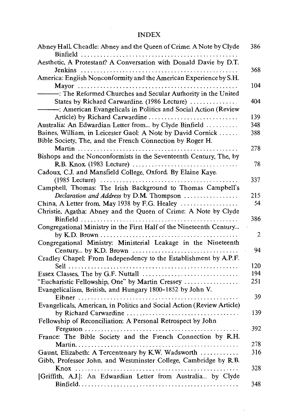| Abney Hall, Cheadle: Abney and the Queen of Crime: A Note by Clyde     | 386 |
|------------------------------------------------------------------------|-----|
| Aesthetic, A Protestant? A Conversation with Donald Davie by D.T.      |     |
|                                                                        | 368 |
| America: English Nonconformity and the American Experience by S.H.     |     |
|                                                                        | 104 |
| -: The Reformed Churches and Secular Authority in the United           |     |
| States by Richard Carwardine. (1986 Lecture)                           | 404 |
| : American Evangelicals in Politics and Social Action (Review          |     |
| Article) by Richard Carwardine                                         | 139 |
| Australia: An Edwardian Letter from by Clyde Binfield                  | 348 |
| Baines, William, in Leicester Gaol: A Note by David Cornick            | 388 |
| Bible Society, The, and the French Connection by Roger H.              |     |
|                                                                        | 278 |
| Bishops and the Nonconformists in the Seventeenth Century, The, by     |     |
|                                                                        | 78  |
| Cadoux, C.J. and Mansfield College, Oxford. By Elaine Kaye.            |     |
|                                                                        | 337 |
| Campbell, Thomas: The Irish Background to Thomas Campbell's            |     |
| Declaration and Address by D.M. Thompson                               | 215 |
| China, A Letter from, May 1938 by F.G. Healey                          | 54  |
| Christie, Agatha: Abney and the Queen of Crime: A Note by Clyde        |     |
|                                                                        | 386 |
| Congregational Ministry in the First Half of the Nineteenth Century    |     |
|                                                                        | 2   |
| Congregational Ministry: Ministerial Leakage in the Nineteenth         |     |
|                                                                        | 94  |
| Cradley Chapel: From Independency to the Establishment by A.P.F.       |     |
|                                                                        | 120 |
| Essex Classes, The by G.F. Nuttall                                     | 194 |
| "Eucharistic Fellowship, One" by Martin Cressey                        | 251 |
| Evangelicalism, British, and Hungary 1800-1852 by John V.              |     |
|                                                                        | 39  |
| Evangelicals, American, in Politics and Social Action (Review Article) |     |
|                                                                        | 139 |
| Fellowship of Reconciliation: A Personal Retrospect by John            |     |
|                                                                        | 392 |
| France: The Bible Society and the French Connection by R.H.            |     |
|                                                                        | 278 |
| Gaunt, Elizabeth: A Tercentenary by K.W. Wadsworth                     | 316 |
| Gibb, Professor John, and Westminster College, Cambridge by R.B.       |     |
|                                                                        | 328 |
| [Griffith, A.J.]: An Edwardian Letter from Australia by Clyde          |     |
|                                                                        | 348 |
|                                                                        |     |

÷